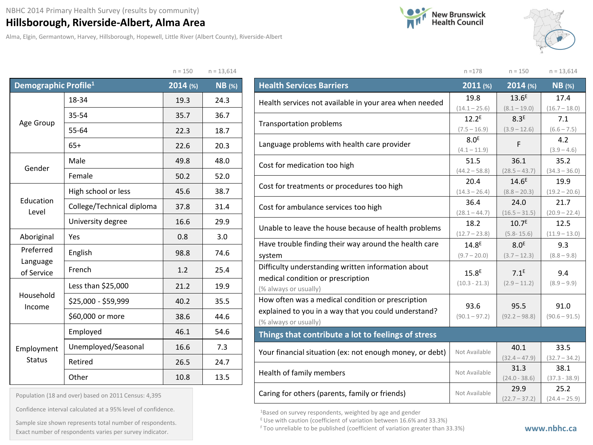## **Hillsborough, Riverside-Albert, Alma Area**

Alma, Elgin, Germantown, Harvey, Hillsborough, Hopewell, Little River (Albert County), Riverside-Albert





17.4  $(16.7 - 18.0)$ 

7.1  $(6.6 - 7.5)$ 

 $(3.9 - 4.6)$ 

35.2  $(34.3 - 36.0)$ 

19.9  $(19.2 - 20.6)$ 

21.7  $(20.9 - 22.4)$ 

12.5  $(11.9 - 13.0)$ 

> 9.3  $(8.8 - 9.8)$

> 9.4  $(8.9 - 9.9)$

91.0  $(90.6 - 91.5)$ 

n =178 n = 150 n = 13,614

 $7.1^E$  $(2.9 - 11.2)$ 

95.5  $(92.2 - 98.8)$ 

|                                  |                           | $n = 150$  | $n = 13,614$  |  |
|----------------------------------|---------------------------|------------|---------------|--|
| Demographic Profile <sup>1</sup> |                           | $2014$ (%) | <b>NB</b> (%) |  |
|                                  | 18-34                     | 19.3       | 24.3          |  |
|                                  | 35-54                     | 35.7       | 36.7          |  |
| Age Group                        | 55-64                     | 22.3       | 18.7          |  |
|                                  | $65+$                     | 22.6       | 20.3          |  |
|                                  | Male                      | 49.8       | 48.0          |  |
| Gender                           | Female                    | 50.2       | 52.0          |  |
|                                  | High school or less       | 45.6       | 38.7          |  |
| Education<br>Level               | College/Technical diploma | 37.8       | 31.4          |  |
|                                  | University degree         | 16.6       | 29.9          |  |
| Aboriginal                       | Yes                       | 0.8        | 3.0           |  |
| Preferred                        | English                   | 98.8       | 74.6          |  |
| Language<br>of Service           | French                    | 1.2        | 25.4          |  |
|                                  | Less than \$25,000        | 21.2       | 19.9          |  |
| Household<br>Income              | \$25,000 - \$59,999       | 40.2       | 35.5          |  |
|                                  | \$60,000 or more          | 38.6       | 44.6          |  |
|                                  | Employed                  | 46.1       | 54.6          |  |
| Employment                       | Unemployed/Seasonal       | 16.6       | 7.3           |  |
| <b>Status</b>                    | Retired                   | 26.5       | 24.7          |  |
|                                  | Other                     | 10.8       | 13.5          |  |

| <b>Health Services Barriers</b>                        |                                                                            | $2011$ (%)        | $2014$ (%)        | <b>NB</b> (%) |
|--------------------------------------------------------|----------------------------------------------------------------------------|-------------------|-------------------|---------------|
| Health services not available in your area when needed |                                                                            | 19.8              | 13.6 <sup>E</sup> | 17.4          |
|                                                        |                                                                            | $(14.1 - 25.6)$   | $(8.1 - 19.0)$    | $(16.7 - 18.$ |
| <b>Transportation problems</b>                         |                                                                            | 12.2 <sup>E</sup> | 8.3 <sup>E</sup>  | 7.1           |
|                                                        |                                                                            | $(7.5 - 16.9)$    | $(3.9 - 12.6)$    | $(6.6 - 7.5)$ |
| Language problems with health care provider            |                                                                            | 8.0 <sup>E</sup>  | F                 | 4.2           |
|                                                        |                                                                            | $(4.1 - 11.9)$    |                   | $(3.9 - 4.6)$ |
|                                                        |                                                                            | 51.5              | 36.1              | 35.2          |
|                                                        | Cost for medication too high<br>Cost for treatments or procedures too high | $(44.2 - 58.8)$   | $(28.5 - 43.7)$   | $(34.3 - 36.$ |
|                                                        |                                                                            | 20.4              | $14.6^E$          | 19.9          |
|                                                        |                                                                            | $(14.3 - 26.4)$   | $(8.8 - 20.3)$    | $(19.2 - 20.$ |
| Cost for ambulance services too high                   |                                                                            | 36.4              | 24.0              | 21.7          |
|                                                        |                                                                            | $(28.1 - 44.7)$   | $(16.5 - 31.5)$   | $(20.9 - 22.$ |
| Unable to leave the house because of health problems   |                                                                            | 18.2              | 10.7 <sup>E</sup> | 12.5          |
|                                                        |                                                                            | $(12.7 - 23.8)$   | $(5.8 - 15.6)$    | $(11.9 - 13.$ |
| Have trouble finding their way around the health care  |                                                                            | 14.8 <sup>E</sup> | 8.0 <sup>E</sup>  | 9.3           |
| system                                                 |                                                                            | $(9.7 - 20.0)$    | $(3.7 - 12.3)$    | $(8.8 - 9.8)$ |
| Difficulty understanding written information about     |                                                                            |                   |                   |               |
|                                                        |                                                                            | 15.8 <sup>E</sup> | $7.1^E$           | 9.4           |

| Difficulty understanding written information about<br>medical condition or prescription<br>(% always or usually)                   | 15.8 <sup>E</sup><br>$(10.3 - 21.3)$ |
|------------------------------------------------------------------------------------------------------------------------------------|--------------------------------------|
| How often was a medical condition or prescription<br>explained to you in a way that you could understand?<br>(% always or usually) | 93.6<br>$(90.1 - 97.2)$              |
| Things that contribute a lot to feelings of stress                                                                                 |                                      |
| Your financial situation (ex: not enough money, or debt)                                                                           | Not Available                        |

| Your financial situation (ex: not enough money, or debt) | Not Available | 40.1            | 33.5            |
|----------------------------------------------------------|---------------|-----------------|-----------------|
|                                                          |               | $(32.4 - 47.9)$ | $(32.7 - 34.2)$ |
| Health of family members                                 | Not Available | 31.3            | 38.1            |
|                                                          |               | $(24.0 - 38.6)$ | $(37.3 - 38.9)$ |
| Caring for others (parents, family or friends)           | Not Available | 29.9            | 25.2            |
|                                                          |               | $(22.7 - 37.2)$ | $(24.4 - 25.9)$ |

1Based on survey respondents, weighted by age and gender

E Use with caution (coefficient of variation between 16.6% and 33.3%)

## Population (18 and over) based on 2011 Census: 4,395

Confidence interval calculated at a 95% level of confidence.

Exact number of respondents varies per survey indicator.<br>Exact number of respondents varies per survey indicator. Sample size shown represents total number of respondents.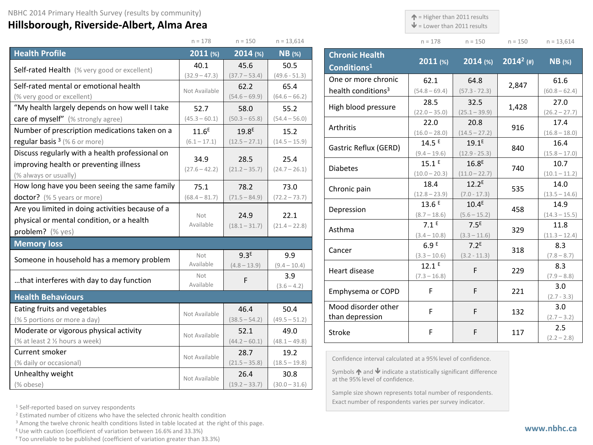## **Hillsborough, Riverside-Albert, Alma Area**

 $\uparrow$  = Higher than 2011 results

 $\blacktriangleright$  = Lower than 2011 results

| $n = 178$ | $n = 150$ | $n = 150$ | $n = 13,614$ |
|-----------|-----------|-----------|--------------|

|                                                  | $n = 178$         | $n = 150$         | $n = 13,614$    |
|--------------------------------------------------|-------------------|-------------------|-----------------|
| <b>Health Profile</b>                            | 2011(%)           | 2014(%)           | $NB$ (%)        |
| Self-rated Health (% very good or excellent)     | 40.1              | 45.6              | 50.5            |
|                                                  | $(32.9 - 47.3)$   | $(37.7 - 53.4)$   | $(49.6 - 51.3)$ |
| Self-rated mental or emotional health            | Not Available     | 62.2              | 65.4            |
| (% very good or excellent)                       |                   | $(54.6 - 69.9)$   | $(64.6 - 66.2)$ |
| "My health largely depends on how well I take    | 52.7              | 58.0              | 55.2            |
| care of myself" (% strongly agree)               | $(45.3 - 60.1)$   | $(50.3 - 65.8)$   | $(54.4 - 56.0)$ |
| Number of prescription medications taken on a    | 11.6 <sup>E</sup> | 19.8 <sup>E</sup> | 15.2            |
| regular basis $3$ (% 6 or more)                  | $(6.1 - 17.1)$    | $(12.5 - 27.1)$   | $(14.5 - 15.9)$ |
| Discuss regularly with a health professional on  |                   |                   |                 |
| improving health or preventing illness           | 34.9              | 28.5              | 25.4            |
| (% always or usually)                            | $(27.6 - 42.2)$   | $(21.2 - 35.7)$   | $(24.7 - 26.1)$ |
| How long have you been seeing the same family    | 75.1              | 78.2              | 73.0            |
| doctor? (% 5 years or more)                      | $(68.4 - 81.7)$   | $(71.5 - 84.9)$   | $(72.2 - 73.7)$ |
| Are you limited in doing activities because of a |                   |                   |                 |
| physical or mental condition, or a health        | Not<br>Available  | 24.9              | 22.1            |
| problem? (% yes)                                 |                   | $(18.1 - 31.7)$   | $(21.4 - 22.8)$ |
| <b>Memory loss</b>                               |                   |                   |                 |
| Someone in household has a memory problem        | Not               | 9.3 <sup>E</sup>  | 9.9             |
|                                                  | Available         | $(4.8 - 13.9)$    | $(9.4 - 10.4)$  |
| that interferes with day to day function         | Not               | F                 | 3.9             |
|                                                  | Available         |                   | $(3.6 - 4.2)$   |
| <b>Health Behaviours</b>                         |                   |                   |                 |
| Eating fruits and vegetables                     | Not Available     | 46.4              | 50.4            |
| (% 5 portions or more a day)                     |                   | $(38.5 - 54.2)$   | $(49.5 - 51.2)$ |
| Moderate or vigorous physical activity           | Not Available     | 52.1              | 49.0            |
| (% at least 2 % hours a week)                    |                   | $(44.2 - 60.1)$   | $(48.1 - 49.8)$ |
| Current smoker                                   | Not Available     | 28.7              | 19.2            |
| (% daily or occasional)                          |                   | $(21.5 - 35.8)$   | $(18.5 - 19.8)$ |
| Unhealthy weight                                 | Not Available     | 26.4              | 30.8            |
| (% obese)                                        |                   | $(19.2 - 33.7)$   | $(30.0 - 31.6)$ |

| <b>Chronic Health</b><br>Conditions <sup>1</sup> | $2011$ (%)                          | $2014$ (%)                           | $\sqrt{2014^2}$ (#) | $NB$ (%)                |
|--------------------------------------------------|-------------------------------------|--------------------------------------|---------------------|-------------------------|
| One or more chronic                              | 62.1                                | 64.8                                 | 2,847               | 61.6                    |
| health conditions <sup>3</sup>                   | $(54.8 - 69.4)$                     | $(57.3 - 72.3)$                      |                     | $(60.8 - 62.4)$         |
| High blood pressure                              | 28.5<br>$(22.0 - 35.0)$             | 32.5<br>$(25.1 - 39.9)$              | 1,428               | 27.0<br>$(26.2 - 27.7)$ |
| Arthritis                                        | 22.0<br>$(16.0 - 28.0)$             | 20.8<br>$(14.5 - 27.2)$              | 916                 | 17.4<br>$(16.8 - 18.0)$ |
| Gastric Reflux (GERD)                            | 14.5E<br>$(9.4 - 19.6)$             | 19.1 <sup>E</sup><br>$(12.9 - 25.3)$ | 840                 | 16.4<br>$(15.8 - 17.0)$ |
| <b>Diabetes</b>                                  | $15.1^E$<br>$(10.0 - 20.3)$         | 16.8 <sup>E</sup><br>$(11.0 - 22.7)$ | 740                 | 10.7<br>$(10.1 - 11.2)$ |
| Chronic pain                                     | 18.4<br>$(12.8 - 23.9)$             | 12.2 <sup>E</sup><br>$(7.0 - 17.3)$  | 535                 | 14.0<br>$(13.5 - 14.6)$ |
| Depression                                       | 13.6E<br>$(8.7 - 18.6)$             | 10.4 <sup>E</sup><br>$(5.6 - 15.2)$  | 458                 | 14.9<br>$(14.3 - 15.5)$ |
| Asthma                                           | 7.1 <sup>E</sup><br>$(3.4 - 10.8)$  | 7.5 <sup>E</sup><br>$(3.3 - 11.6)$   | 329                 | 11.8<br>$(11.3 - 12.4)$ |
| Cancer                                           | 6.9E<br>$(3.3 - 10.6)$              | 7.2 <sup>E</sup><br>$(3.2 - 11.3)$   | 318                 | 8.3<br>$(7.8 - 8.7)$    |
| Heart disease                                    | 12.1 <sup>E</sup><br>$(7.3 - 16.8)$ | F                                    | 229                 | 8.3<br>$(7.9 - 8.8)$    |
| Emphysema or COPD                                | F                                   | F                                    | 221                 | 3.0<br>$(2.7 - 3.3)$    |
| Mood disorder other<br>than depression           | F                                   | F                                    | 132                 | 3.0<br>$(2.7 - 3.2)$    |
| Stroke                                           | F                                   | F                                    | 117                 | 2.5<br>$(2.2 - 2.8)$    |

Confidence interval calculated at a 95% level of confidence.

Symbols  $\bigwedge$  and  $\bigvee$  indicate a statistically significant difference at the 95% level of confidence.

Sample size shown represents total number of respondents. Exact number of respondents varies per survey indicator.

<sup>1</sup> Self-reported based on survey respondents

<sup>2</sup> Estimated number of citizens who have the selected chronic health condition

<sup>3</sup> Among the twelve chronic health conditions listed in table located at the right of this page.

 $E$  Use with caution (coefficient of variation between 16.6% and 33.3%)

F Too unreliable to be published (coefficient of variation greater than 33.3%)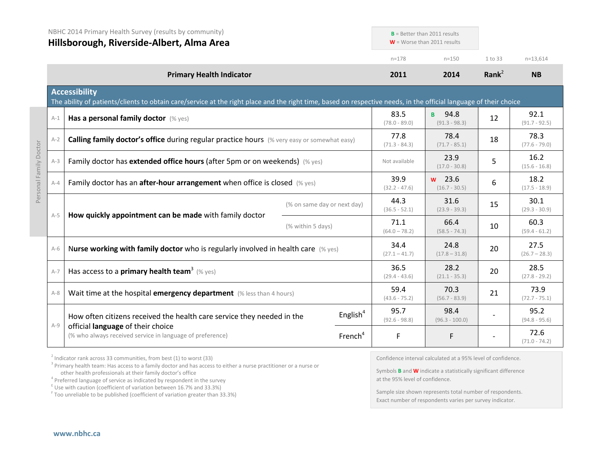|                        | NBHC 2014 Primary Health Survey (results by community)<br>Hillsborough, Riverside-Albert, Alma Area |                                                                                                                                                                                           |                             | $B =$ Better than 2011 results<br>$W =$ Worse than 2011 results |                         |                               |           |                         |
|------------------------|-----------------------------------------------------------------------------------------------------|-------------------------------------------------------------------------------------------------------------------------------------------------------------------------------------------|-----------------------------|-----------------------------------------------------------------|-------------------------|-------------------------------|-----------|-------------------------|
|                        |                                                                                                     |                                                                                                                                                                                           |                             |                                                                 | $n = 178$               | $n = 150$                     | 1 to 33   | $n=13,614$              |
|                        |                                                                                                     | <b>Primary Health Indicator</b>                                                                                                                                                           |                             |                                                                 | 2011                    | 2014                          | Rank $^2$ | <b>NB</b>               |
|                        |                                                                                                     | <b>Accessibility</b><br>The ability of patients/clients to obtain care/service at the right place and the right time, based on respective needs, in the official language of their choice |                             |                                                                 |                         |                               |           |                         |
|                        | $A-1$                                                                                               | Has a personal family doctor (% yes)                                                                                                                                                      |                             |                                                                 | 83.5<br>$(78.0 - 89.0)$ | 94.8<br>B.<br>$(91.3 - 98.3)$ | 12        | 92.1<br>$(91.7 - 92.5)$ |
|                        | $A-2$                                                                                               | Calling family doctor's office during regular practice hours (% very easy or somewhat easy)                                                                                               |                             |                                                                 | 77.8<br>$(71.3 - 84.3)$ | 78.4<br>$(71.7 - 85.1)$       | 18        | 78.3<br>$(77.6 - 79.0)$ |
| Personal Family Doctor | $A-3$                                                                                               | Family doctor has extended office hours (after 5pm or on weekends) (% yes)                                                                                                                |                             |                                                                 | Not available           | 23.9<br>$(17.0 - 30.8)$       | 5         | 16.2<br>$(15.6 - 16.8)$ |
|                        | $A - 4$                                                                                             | Family doctor has an <b>after-hour arrangement</b> when office is closed $(\%$ yes)                                                                                                       |                             |                                                                 | 39.9<br>$(32.2 - 47.6)$ | $w$ 23.6<br>$(16.7 - 30.5)$   | 6         | 18.2<br>$(17.5 - 18.9)$ |
|                        | $A-5$                                                                                               |                                                                                                                                                                                           | (% on same day or next day) |                                                                 | 44.3<br>$(36.5 - 52.1)$ | 31.6<br>$(23.9 - 39.3)$       | 15        | 30.1<br>$(29.3 - 30.9)$ |
|                        |                                                                                                     | How quickly appointment can be made with family doctor                                                                                                                                    | (% within 5 days)           |                                                                 | 71.1<br>$(64.0 - 78.2)$ | 66.4<br>$(58.5 - 74.3)$       | 10        | 60.3<br>$(59.4 - 61.2)$ |
|                        | $A-6$                                                                                               | Nurse working with family doctor who is regularly involved in health care $(\%$ yes)                                                                                                      |                             |                                                                 | 34.4<br>$(27.1 - 41.7)$ | 24.8<br>$(17.8 - 31.8)$       | 20        | 27.5<br>$(26.7 - 28.3)$ |
|                        | $A-7$                                                                                               | Has access to a <b>primary health team</b> <sup>3</sup> (% yes)                                                                                                                           |                             |                                                                 | 36.5<br>$(29.4 - 43.6)$ | 28.2<br>$(21.1 - 35.3)$       | 20        | 28.5<br>$(27.8 - 29.2)$ |
|                        | $A-8$                                                                                               | Wait time at the hospital emergency department (% less than 4 hours)                                                                                                                      |                             |                                                                 | 59.4<br>$(43.6 - 75.2)$ | 70.3<br>$(56.7 - 83.9)$       | 21        | 73.9<br>$(72.7 - 75.1)$ |
|                        | $A-9$                                                                                               | How often citizens received the health care service they needed in the                                                                                                                    |                             | English $4$                                                     | 95.7<br>$(92.6 - 98.8)$ | 98.4<br>$(96.3 - 100.0)$      |           | 95.2<br>$(94.8 - 95.6)$ |
|                        |                                                                                                     | official language of their choice<br>(% who always received service in language of preference)                                                                                            |                             | French <sup>4</sup>                                             | F                       | F.                            |           | 72.6<br>$(71.0 - 74.2)$ |

 $2$  Indicator rank across 33 communities, from best (1) to worst (33)

<sup>3</sup> Primary health team: Has access to a family doctor and has access to either a nurse practitioner or a nurse or other health professionals at their family doctor's office

 $\frac{1}{2}$  Use with caution (coefficient of variation between 16.7% and 33.3%)

<sup>F</sup> Too unreliable to be published (coefficient of variation greater than 33.3%)

Confidence interval calculated at a 95% level of confidence.

Symbols **B** and **W** indicate a statistically significant difference at the 95% level of confidence.

Sample size shown represents total number of respondents. Exact number of respondents varies per survey indicator.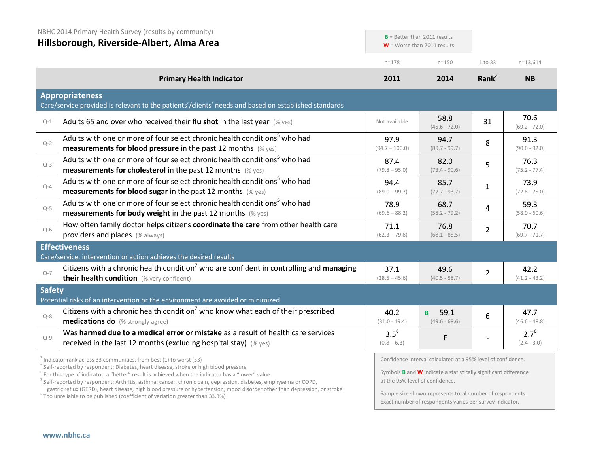|               | NBHC 2014 Primary Health Survey (results by community)<br>Hillsborough, Riverside-Albert, Alma Area                                                                                                                                                                                                                                                                                                            |                            | $B =$ Better than 2011 results<br>$W =$ Worse than 2011 results                                                                                                                  |                |                            |
|---------------|----------------------------------------------------------------------------------------------------------------------------------------------------------------------------------------------------------------------------------------------------------------------------------------------------------------------------------------------------------------------------------------------------------------|----------------------------|----------------------------------------------------------------------------------------------------------------------------------------------------------------------------------|----------------|----------------------------|
|               |                                                                                                                                                                                                                                                                                                                                                                                                                | $n = 178$                  | $n = 150$                                                                                                                                                                        | 1 to 33        | $n=13,614$                 |
|               | <b>Primary Health Indicator</b>                                                                                                                                                                                                                                                                                                                                                                                | 2011                       | 2014                                                                                                                                                                             | Rank $2$       | <b>NB</b>                  |
|               | <b>Appropriateness</b><br>Care/service provided is relevant to the patients'/clients' needs and based on established standards                                                                                                                                                                                                                                                                                 |                            |                                                                                                                                                                                  |                |                            |
| $Q-1$         | Adults 65 and over who received their flu shot in the last year $(\%$ yes)                                                                                                                                                                                                                                                                                                                                     | Not available              | 58.8<br>$(45.6 - 72.0)$                                                                                                                                                          | 31             | 70.6<br>$(69.2 - 72.0)$    |
| $Q - 2$       | Adults with one or more of four select chronic health conditions <sup>5</sup> who had<br><b>measurements for blood pressure</b> in the past 12 months (% yes)                                                                                                                                                                                                                                                  | 97.9<br>$(94.7 - 100.0)$   | 94.7<br>$(89.7 - 99.7)$                                                                                                                                                          | 8              | 91.3<br>$(90.6 - 92.0)$    |
| $Q-3$         | Adults with one or more of four select chronic health conditions <sup>5</sup> who had<br><b>measurements for cholesterol</b> in the past 12 months (% yes)                                                                                                                                                                                                                                                     | 87.4<br>$(79.8 - 95.0)$    | 82.0<br>$(73.4 - 90.6)$                                                                                                                                                          | 5              | 76.3<br>$(75.2 - 77.4)$    |
| $Q - 4$       | Adults with one or more of four select chronic health conditions <sup>5</sup> who had<br><b>measurements for blood sugar in the past 12 months</b> (% yes)                                                                                                                                                                                                                                                     | 94.4<br>$(89.0 - 99.7)$    | 85.7<br>$(77.7 - 93.7)$                                                                                                                                                          | $\mathbf{1}$   | 73.9<br>$(72.8 - 75.0)$    |
| $Q-5$         | Adults with one or more of four select chronic health conditions <sup>5</sup> who had<br><b>measurements for body weight</b> in the past 12 months (% yes)                                                                                                                                                                                                                                                     | 78.9<br>$(69.6 - 88.2)$    | 68.7<br>$(58.2 - 79.2)$                                                                                                                                                          | 4              | 59.3<br>$(58.0 - 60.6)$    |
| $Q-6$         | How often family doctor helps citizens coordinate the care from other health care<br>providers and places (% always)                                                                                                                                                                                                                                                                                           | 71.1<br>$(62.3 - 79.8)$    | 76.8<br>$(68.1 - 85.5)$                                                                                                                                                          | $\overline{2}$ | 70.7<br>$(69.7 - 71.7)$    |
|               | <b>Effectiveness</b><br>Care/service, intervention or action achieves the desired results                                                                                                                                                                                                                                                                                                                      |                            |                                                                                                                                                                                  |                |                            |
| $Q - 7$       | Citizens with a chronic health condition <sup>7</sup> who are confident in controlling and managing<br>their health condition (% very confident)                                                                                                                                                                                                                                                               | 37.1<br>$(28.5 - 45.6)$    | 49.6<br>$(40.5 - 58.7)$                                                                                                                                                          | $\overline{2}$ | 42.2<br>$(41.2 - 43.2)$    |
| <b>Safety</b> | Potential risks of an intervention or the environment are avoided or minimized                                                                                                                                                                                                                                                                                                                                 |                            |                                                                                                                                                                                  |                |                            |
| $Q - 8$       | Citizens with a chronic health condition <sup>7</sup> who know what each of their prescribed<br>medications do (% strongly agree)                                                                                                                                                                                                                                                                              | 40.2<br>$(31.0 - 49.4)$    | 59.1<br>B.<br>$(49.6 - 68.6)$                                                                                                                                                    | 6              | 47.7<br>$(46.6 - 48.8)$    |
| $Q - 9$       | Was harmed due to a medical error or mistake as a result of health care services<br>received in the last 12 months (excluding hospital stay) $(\%$ yes)                                                                                                                                                                                                                                                        | $3.5^{6}$<br>$(0.8 - 6.3)$ | F                                                                                                                                                                                |                | $2.7^{6}$<br>$(2.4 - 3.0)$ |
|               | <sup>2</sup> Indicator rank across 33 communities, from best (1) to worst (33)<br><sup>5</sup> Self-reported by respondent: Diabetes, heart disease, stroke or high blood pressure<br>$6$ For this type of indicator, a "better" result is achieved when the indicator has a "lower" value<br>$\alpha$ Calf-ranortad by respondent: Arthritic asthma cancer chronic pain depression diabetes emphyseme or COPD |                            | Confidence interval calculated at a 95% level of confidence.<br>Symbols <b>B</b> and <b>W</b> indicate a statistically significant difference<br>at the 95% level of confidence. |                |                            |

<sup>7</sup> Self-reported by respondent: Arthritis, asthma, cancer, chronic pain, depression, diabetes, emphysema or COPD, gastric reflux (GERD), heart disease, high blood pressure or hypertension, mood disorder other than depression, or stroke <sup>F</sup> Too unreliable to be published (coefficient of variation greater than 33.3%)

at the 95% level of confidence.

Sample size shown represents total number of respondents. Exact number of respondents varies per survey indicator.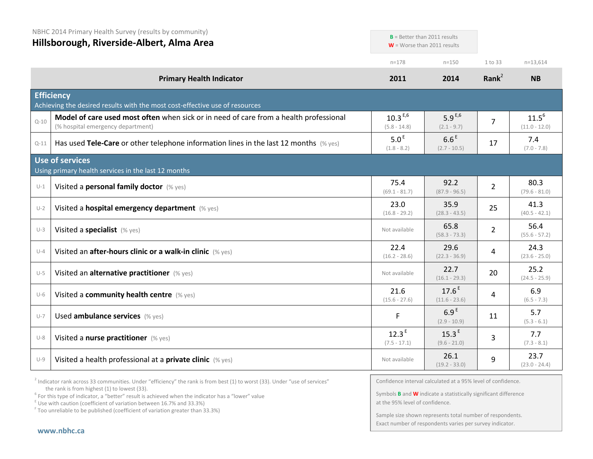NBHC 2014 Primary Health Survey (results by community)

**Hillsborough, Riverside-Albert, Alma Area**

|          | Hillsborough, Riverside-Albert, Alma Area                                                                                  | $W =$ Worse than 2011 results       |                                     |                |                               |
|----------|----------------------------------------------------------------------------------------------------------------------------|-------------------------------------|-------------------------------------|----------------|-------------------------------|
|          |                                                                                                                            | $n = 178$                           | $n = 150$                           | 1 to 33        | $n=13,614$                    |
|          | <b>Primary Health Indicator</b>                                                                                            | 2011                                | 2014                                | Rank $2$       | <b>NB</b>                     |
|          | <b>Efficiency</b><br>Achieving the desired results with the most cost-effective use of resources                           |                                     |                                     |                |                               |
| $Q - 10$ | Model of care used most often when sick or in need of care from a health professional<br>(% hospital emergency department) | $10.3^{E,6}$<br>$(5.8 - 14.8)$      | 5.9 $E,6$<br>$(2.1 - 9.7)$          | $\overline{7}$ | $11.5^{6}$<br>$(11.0 - 12.0)$ |
| $Q-11$   | Has used Tele-Care or other telephone information lines in the last 12 months (% yes)                                      | 5.0 <sup>E</sup><br>$(1.8 - 8.2)$   | 6.6 <sup>E</sup><br>$(2.7 - 10.5)$  | 17             | 7.4<br>$(7.0 - 7.8)$          |
|          | <b>Use of services</b><br>Using primary health services in the last 12 months                                              |                                     |                                     |                |                               |
| $U-1$    | Visited a personal family doctor (% yes)                                                                                   | 75.4<br>$(69.1 - 81.7)$             | 92.2<br>$(87.9 - 96.5)$             | $\overline{2}$ | 80.3<br>$(79.6 - 81.0)$       |
| $U-2$    | Visited a hospital emergency department (% yes)                                                                            | 23.0<br>$(16.8 - 29.2)$             | 35.9<br>$(28.3 - 43.5)$             | 25             | 41.3<br>$(40.5 - 42.1)$       |
| $U-3$    | Visited a specialist (% yes)                                                                                               | Not available                       | 65.8<br>$(58.3 - 73.3)$             | $\overline{2}$ | 56.4<br>$(55.6 - 57.2)$       |
| $U-4$    | Visited an after-hours clinic or a walk-in clinic (% yes)                                                                  | 22.4<br>$(16.2 - 28.6)$             | 29.6<br>$(22.3 - 36.9)$             | 4              | 24.3<br>$(23.6 - 25.0)$       |
| $U-5$    | Visited an alternative practitioner (% yes)                                                                                | Not available                       | 22.7<br>$(16.1 - 29.3)$             | 20             | 25.2<br>$(24.5 - 25.9)$       |
| $U-6$    | Visited a community health centre (% yes)                                                                                  | 21.6<br>$(15.6 - 27.6)$             | $17.6^{E}$<br>$(11.6 - 23.6)$       | 4              | 6.9<br>$(6.5 - 7.3)$          |
| $U-7$    | Used ambulance services (% yes)                                                                                            | F                                   | 6.9 <sup>E</sup><br>$(2.9 - 10.9)$  | 11             | 5.7<br>$(5.3 - 6.1)$          |
| $U-8$    | Visited a nurse practitioner (% yes)                                                                                       | 12.3 <sup>E</sup><br>$(7.5 - 17.1)$ | 15.3 <sup>E</sup><br>$(9.6 - 21.0)$ | 3              | 7.7<br>$(7.3 - 8.1)$          |
| $U-9$    | Visited a health professional at a private clinic (% yes)                                                                  | Not available                       | 26.1<br>$(19.2 - 33.0)$             | 9              | 23.7<br>$(23.0 - 24.4)$       |

 $2$  Indicator rank across 33 communities. Under "efficiency" the rank is from best (1) to worst (33). Under "use of services" the rank is from highest (1) to lowest (33).

<sup>6</sup> For this type of indicator, a "better" result is achieved when the indicator has a "lower" value E Use with caution (coefficient of variation between 16.7% and 33.3%)

<sup>F</sup> Too unreliable to be published (coefficient of variation greater than 33.3%)

Confidence interval calculated at a 95% level of confidence.

**B** = Better than 2011 results

Symbols **B** and **W** indicate a statistically significant difference at the 95% level of confidence.

Sample size shown represents total number of respondents. Exact number of respondents varies per survey indicator.